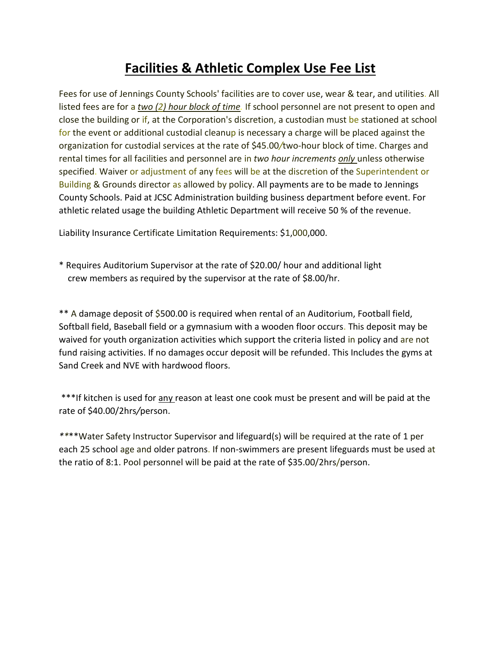## **Facilities & Athletic Complex Use Fee List**

Fees for use of Jennings County Schools' facilities are to cover use, wear & tear, and utilities. All listed fees are for a *two (2) hour block of time.* If school personnel are not present to open and close the building or if, at the Corporation's discretion, a custodian must be stationed at school for the event or additional custodial cleanup is necessary a charge will be placed against the organization for custodial services at the rate of \$45.00*/*two-hour block of time. Charges and rental times for all facilities and personnel are in *two hour increments only* unless otherwise specified. Waiver or adjustment of any fees will be at the discretion of the Superintendent or Building & Grounds director as allowed by policy. All payments are to be made to Jennings County Schools. Paid at JCSC Administration building business department before event. For athletic related usage the building Athletic Department will receive 50 % of the revenue.

Liability Insurance Certificate Limitation Requirements: \$1,000,000.

\* Requires Auditorium Supervisor at the rate of \$20.00/ hour and additional light crew members as required by the supervisor at the rate of \$8.00/hr.

\*\* A damage deposit of \$500.00 is required when rental of an Auditorium, Football field, Softball field, Baseball field or a gymnasium with a wooden floor occurs. This deposit may be waived for youth organization activities which support the criteria listed in policy and are not fund raising activities. If no damages occur deposit will be refunded. This Includes the gyms at Sand Creek and NVE with hardwood floors.

\*\*\*If kitchen is used for any reason at least one cook must be present and will be paid at the rate of \$40.00/2hrs*/*person.

*\*\**\*\*Water Safety Instructor Supervisor and lifeguard(s) will be required at the rate of 1 per each 25 school age and older patrons. If non-swimmers are present lifeguards must be used at the ratio of 8:1. Pool personnel will be paid at the rate of \$35.00/2hrs/person.